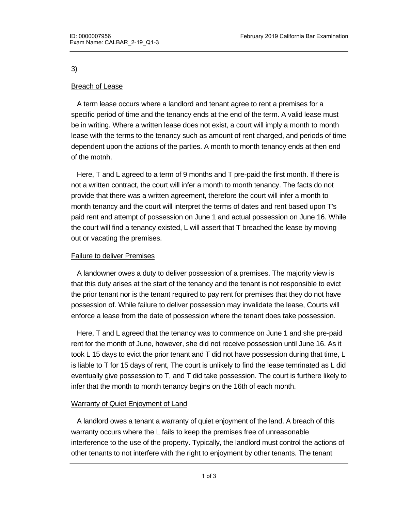3)

# Breach of Lease

 A term lease occurs where a landlord and tenant agree to rent a premises for a specific period of time and the tenancy ends at the end of the term. A valid lease must be in writing. Where a written lease does not exist, a court will imply a month to month lease with the terms to the tenancy such as amount of rent charged, and periods of time dependent upon the actions of the parties. A month to month tenancy ends at then end of the motnh.

 Here, T and L agreed to a term of 9 months and T pre-paid the first month. If there is not a written contract, the court will infer a month to month tenancy. The facts do not provide that there was a written agreement, therefore the court will infer a month to month tenancy and the court will interpret the terms of dates and rent based upon T's paid rent and attempt of possession on June 1 and actual possession on June 16. While the court will find a tenancy existed, L will assert that T breached the lease by moving out or vacating the premises.

### Failure to deliver Premises

 A landowner owes a duty to deliver possession of a premises. The majority view is that this duty arises at the start of the tenancy and the tenant is not responsible to evict the prior tenant nor is the tenant required to pay rent for premises that they do not have possession of. While failure to deliver possession may invalidate the lease, Courts will enforce a lease from the date of possession where the tenant does take possession.

 Here, T and L agreed that the tenancy was to commence on June 1 and she pre-paid rent for the month of June, however, she did not receive possession until June 16. As it took L 15 days to evict the prior tenant and T did not have possession during that time, L is liable to T for 15 days of rent, The court is unlikely to find the lease temrinated as L did eventually give possession to T, and T did take possession. The court is furthere likely to infer that the month to month tenancy begins on the 16th of each month.

### **Warranty of Quiet Enjoyment of Land**

 A landlord owes a tenant a warranty of quiet enjoyment of the land. A breach of this warranty occurs where the L fails to keep the premises free of unreasonable interference to the use of the property. Typically, the landlord must control the actions of other tenants to not interfere with the right to enjoyment by other tenants. The tenant

must notify the landlord of any breach of this right, and  $\alpha$  must fix the problem within  $\alpha$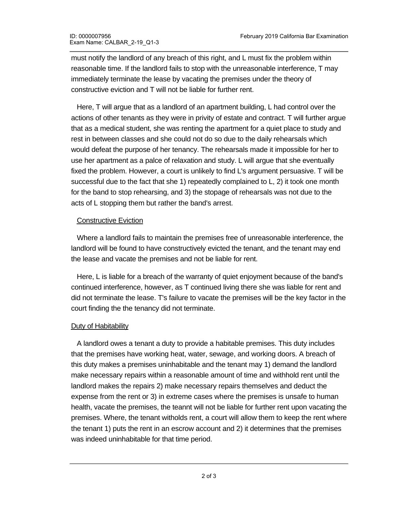must notify the landlord of any breach of this right, and L must fix the problem within reasonable time. If the landlord fails to stop with the unreasonable interference, T may immediately terminate the lease by vacating the premises under the theory of constructive eviction and T will not be liable for further rent.

 Here, T will argue that as a landlord of an apartment building, L had control over the actions of other tenants as they were in privity of estate and contract. T will further argue that as a medical student, she was renting the apartment for a quiet place to study and rest in between classes and she could not do so due to the daily rehearsals which would defeat the purpose of her tenancy. The rehearsals made it impossible for her to use her apartment as a palce of relaxation and study. L will argue that she eventually fixed the problem. However, a court is unlikely to find L's argument persuasive. T will be successful due to the fact that she 1) repeatedly complained to L, 2) it took one month for the band to stop rehearsing, and 3) the stopage of rehearsals was not due to the acts of L stopping them but rather the band's arrest.

### Constructive Eviction

 Where a landlord fails to maintain the premises free of unreasonable interference, the landlord will be found to have constructively evicted the tenant, and the tenant may end the lease and vacate the premises and not be liable for rent.

 Here, L is liable for a breach of the warranty of quiet enjoyment because of the band's continued interference, however, as T continued living there she was liable for rent and did not terminate the lease. T's failure to vacate the premises will be the key factor in the court finding the the tenancy did not terminate.

### Duty of Habitability

 A landlord owes a tenant a duty to provide a habitable premises. This duty includes that the premises have working heat, water, sewage, and working doors. A breach of this duty makes a premises uninhabitable and the tenant may 1) demand the landlord make necessary repairs within a reasonable amount of time and withhold rent until the landlord makes the repairs 2) make necessary repairs themselves and deduct the expense from the rent or 3) in extreme cases where the premises is unsafe to human health, vacate the premises, the teannt will not be liable for further rent upon vacating the premises. Where, the tenant witholds rent, a court will allow them to keep the rent where the tenant 1) puts the rent in an escrow account and 2) it determines that the premises was indeed uninhabitable for that time period.